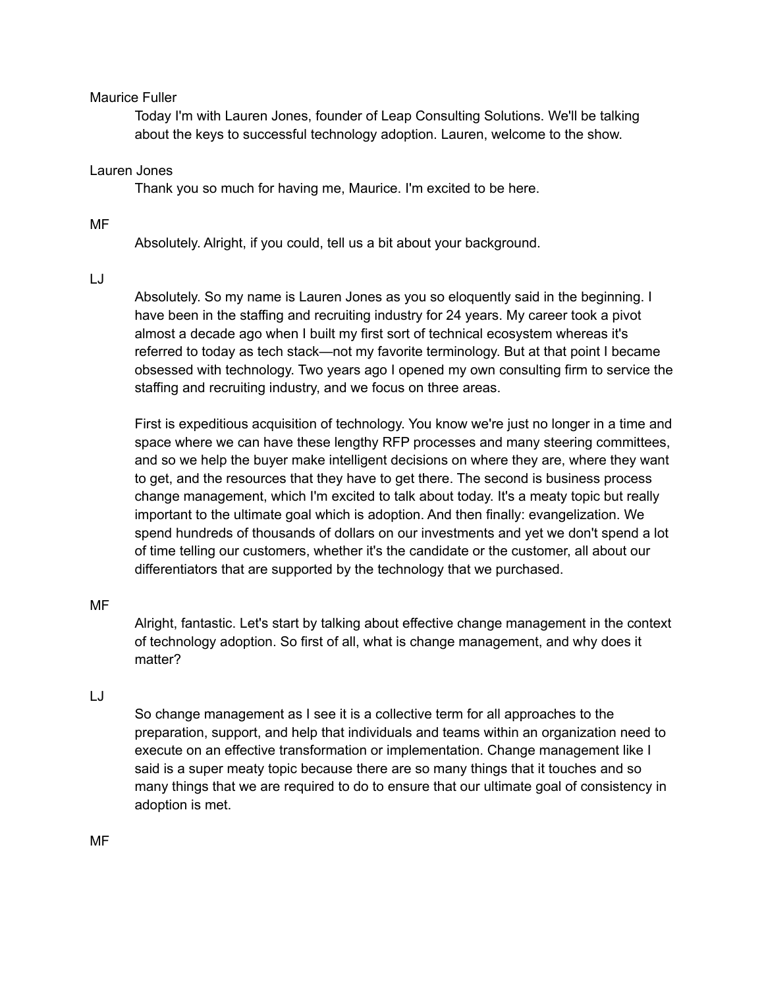# Maurice Fuller

Today I'm with Lauren Jones, founder of Leap Consulting Solutions. We'll be talking about the keys to successful technology adoption. Lauren, welcome to the show.

# Lauren Jones

Thank you so much for having me, Maurice. I'm excited to be here.

# MF

Absolutely. Alright, if you could, tell us a bit about your background.

# LJ

Absolutely. So my name is Lauren Jones as you so eloquently said in the beginning. I have been in the staffing and recruiting industry for 24 years. My career took a pivot almost a decade ago when I built my first sort of technical ecosystem whereas it's referred to today as tech stack—not my favorite terminology. But at that point I became obsessed with technology. Two years ago I opened my own consulting firm to service the staffing and recruiting industry, and we focus on three areas.

First is expeditious acquisition of technology. You know we're just no longer in a time and space where we can have these lengthy RFP processes and many steering committees, and so we help the buyer make intelligent decisions on where they are, where they want to get, and the resources that they have to get there. The second is business process change management, which I'm excited to talk about today. It's a meaty topic but really important to the ultimate goal which is adoption. And then finally: evangelization. We spend hundreds of thousands of dollars on our investments and yet we don't spend a lot of time telling our customers, whether it's the candidate or the customer, all about our differentiators that are supported by the technology that we purchased.

# MF

Alright, fantastic. Let's start by talking about effective change management in the context of technology adoption. So first of all, what is change management, and why does it matter?

# LJ

So change management as I see it is a collective term for all approaches to the preparation, support, and help that individuals and teams within an organization need to execute on an effective transformation or implementation. Change management like I said is a super meaty topic because there are so many things that it touches and so many things that we are required to do to ensure that our ultimate goal of consistency in adoption is met.

MF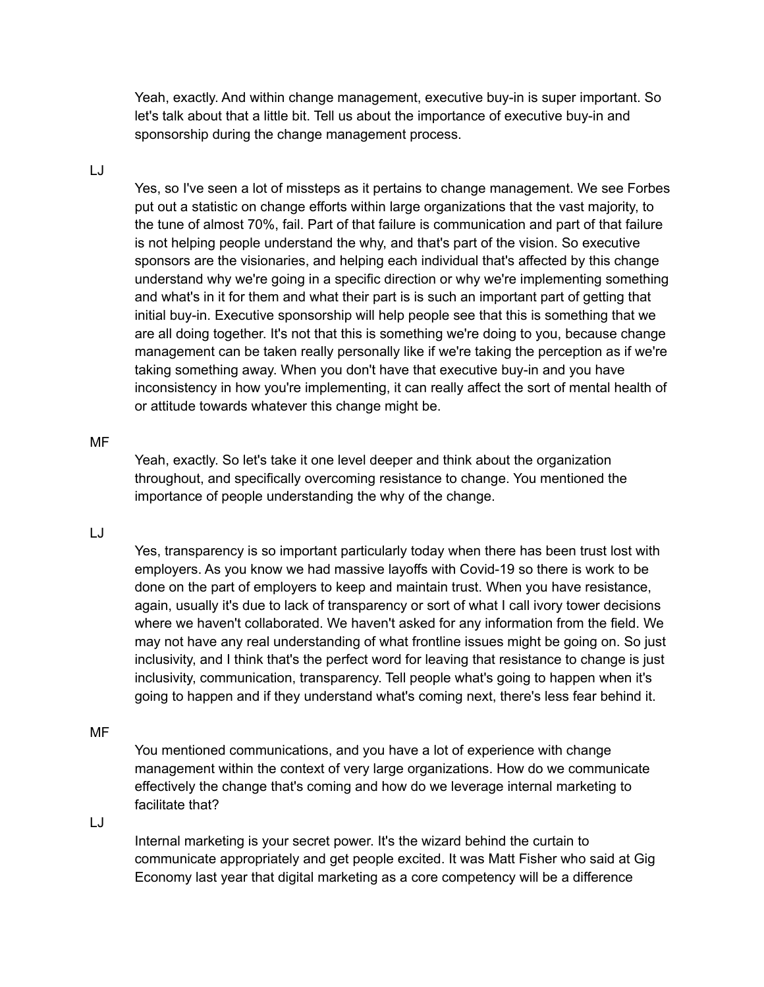Yeah, exactly. And within change management, executive buy-in is super important. So let's talk about that a little bit. Tell us about the importance of executive buy-in and sponsorship during the change management process.

## LJ

Yes, so I've seen a lot of missteps as it pertains to change management. We see Forbes put out a statistic on change efforts within large organizations that the vast majority, to the tune of almost 70%, fail. Part of that failure is communication and part of that failure is not helping people understand the why, and that's part of the vision. So executive sponsors are the visionaries, and helping each individual that's affected by this change understand why we're going in a specific direction or why we're implementing something and what's in it for them and what their part is is such an important part of getting that initial buy-in. Executive sponsorship will help people see that this is something that we are all doing together. It's not that this is something we're doing to you, because change management can be taken really personally like if we're taking the perception as if we're taking something away. When you don't have that executive buy-in and you have inconsistency in how you're implementing, it can really affect the sort of mental health of or attitude towards whatever this change might be.

#### MF

Yeah, exactly. So let's take it one level deeper and think about the organization throughout, and specifically overcoming resistance to change. You mentioned the importance of people understanding the why of the change.

# LJ

Yes, transparency is so important particularly today when there has been trust lost with employers. As you know we had massive layoffs with Covid-19 so there is work to be done on the part of employers to keep and maintain trust. When you have resistance, again, usually it's due to lack of transparency or sort of what I call ivory tower decisions where we haven't collaborated. We haven't asked for any information from the field. We may not have any real understanding of what frontline issues might be going on. So just inclusivity, and I think that's the perfect word for leaving that resistance to change is just inclusivity, communication, transparency. Tell people what's going to happen when it's going to happen and if they understand what's coming next, there's less fear behind it.

#### MF

You mentioned communications, and you have a lot of experience with change management within the context of very large organizations. How do we communicate effectively the change that's coming and how do we leverage internal marketing to facilitate that?

LJ

Internal marketing is your secret power. It's the wizard behind the curtain to communicate appropriately and get people excited. It was Matt Fisher who said at Gig Economy last year that digital marketing as a core competency will be a difference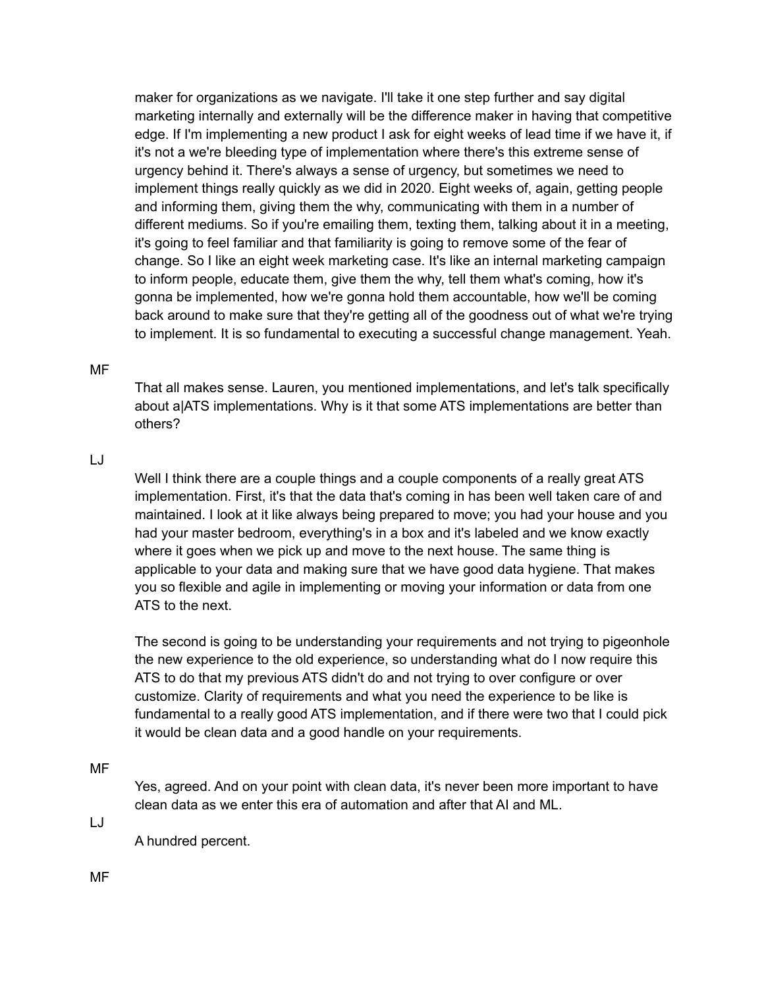maker for organizations as we navigate. I'll take it one step further and say digital marketing internally and externally will be the difference maker in having that competitive edge. If I'm implementing a new product I ask for eight weeks of lead time if we have it, if it's not a we're bleeding type of implementation where there's this extreme sense of urgency behind it. There's always a sense of urgency, but sometimes we need to implement things really quickly as we did in 2020. Eight weeks of, again, getting people and informing them, giving them the why, communicating with them in a number of different mediums. So if you're emailing them, texting them, talking about it in a meeting, it's going to feel familiar and that familiarity is going to remove some of the fear of change. So I like an eight week marketing case. It's like an internal marketing campaign to inform people, educate them, give them the why, tell them what's coming, how it's gonna be implemented, how we're gonna hold them accountable, how we'll be coming back around to make sure that they're getting all of the goodness out of what we're trying to implement. It is so fundamental to executing a successful change management. Yeah.

### MF

That all makes sense. Lauren, you mentioned implementations, and let's talk specifically about a|ATS implementations. Why is it that some ATS implementations are better than others?

### LJ

Well I think there are a couple things and a couple components of a really great ATS implementation. First, it's that the data that's coming in has been well taken care of and maintained. I look at it like always being prepared to move; you had your house and you had your master bedroom, everything's in a box and it's labeled and we know exactly where it goes when we pick up and move to the next house. The same thing is applicable to your data and making sure that we have good data hygiene. That makes you so flexible and agile in implementing or moving your information or data from one ATS to the next.

The second is going to be understanding your requirements and not trying to pigeonhole the new experience to the old experience, so understanding what do I now require this ATS to do that my previous ATS didn't do and not trying to over configure or over customize. Clarity of requirements and what you need the experience to be like is fundamental to a really good ATS implementation, and if there were two that I could pick it would be clean data and a good handle on your requirements.

#### MF

Yes, agreed. And on your point with clean data, it's never been more important to have clean data as we enter this era of automation and after that AI and ML.

LJ

A hundred percent.

MF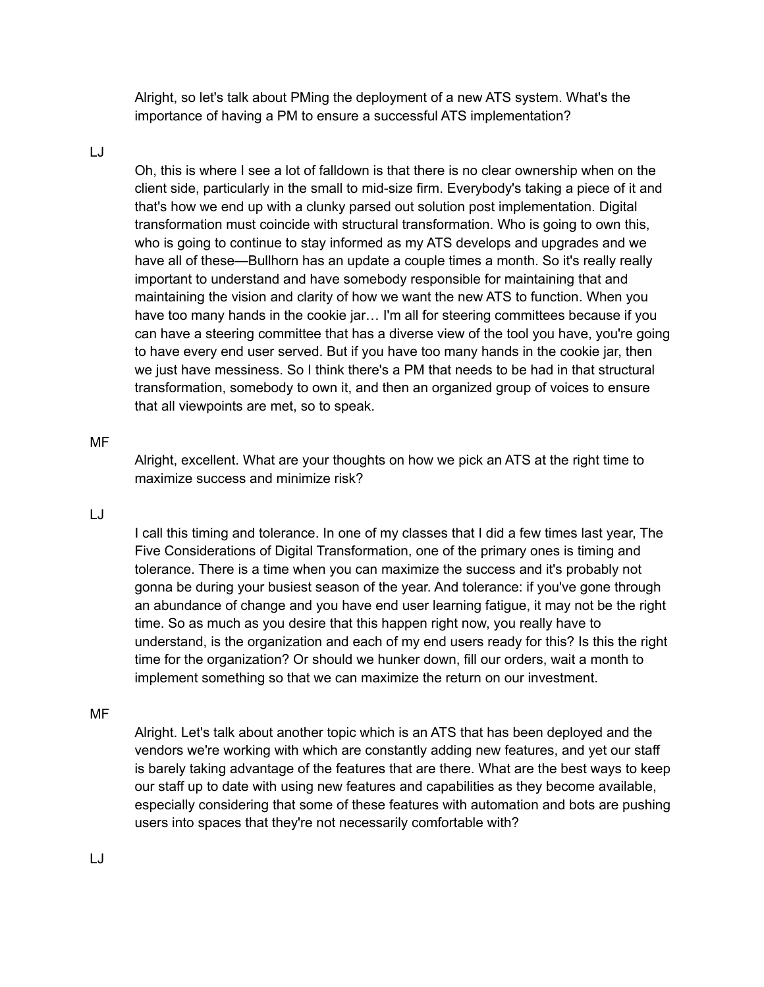Alright, so let's talk about PMing the deployment of a new ATS system. What's the importance of having a PM to ensure a successful ATS implementation?

#### LJ

Oh, this is where I see a lot of falldown is that there is no clear ownership when on the client side, particularly in the small to mid-size firm. Everybody's taking a piece of it and that's how we end up with a clunky parsed out solution post implementation. Digital transformation must coincide with structural transformation. Who is going to own this, who is going to continue to stay informed as my ATS develops and upgrades and we have all of these—Bullhorn has an update a couple times a month. So it's really really important to understand and have somebody responsible for maintaining that and maintaining the vision and clarity of how we want the new ATS to function. When you have too many hands in the cookie jar… I'm all for steering committees because if you can have a steering committee that has a diverse view of the tool you have, you're going to have every end user served. But if you have too many hands in the cookie jar, then we just have messiness. So I think there's a PM that needs to be had in that structural transformation, somebody to own it, and then an organized group of voices to ensure that all viewpoints are met, so to speak.

#### MF

Alright, excellent. What are your thoughts on how we pick an ATS at the right time to maximize success and minimize risk?

# LJ

I call this timing and tolerance. In one of my classes that I did a few times last year, The Five Considerations of Digital Transformation, one of the primary ones is timing and tolerance. There is a time when you can maximize the success and it's probably not gonna be during your busiest season of the year. And tolerance: if you've gone through an abundance of change and you have end user learning fatigue, it may not be the right time. So as much as you desire that this happen right now, you really have to understand, is the organization and each of my end users ready for this? Is this the right time for the organization? Or should we hunker down, fill our orders, wait a month to implement something so that we can maximize the return on our investment.

# MF

Alright. Let's talk about another topic which is an ATS that has been deployed and the vendors we're working with which are constantly adding new features, and yet our staff is barely taking advantage of the features that are there. What are the best ways to keep our staff up to date with using new features and capabilities as they become available, especially considering that some of these features with automation and bots are pushing users into spaces that they're not necessarily comfortable with?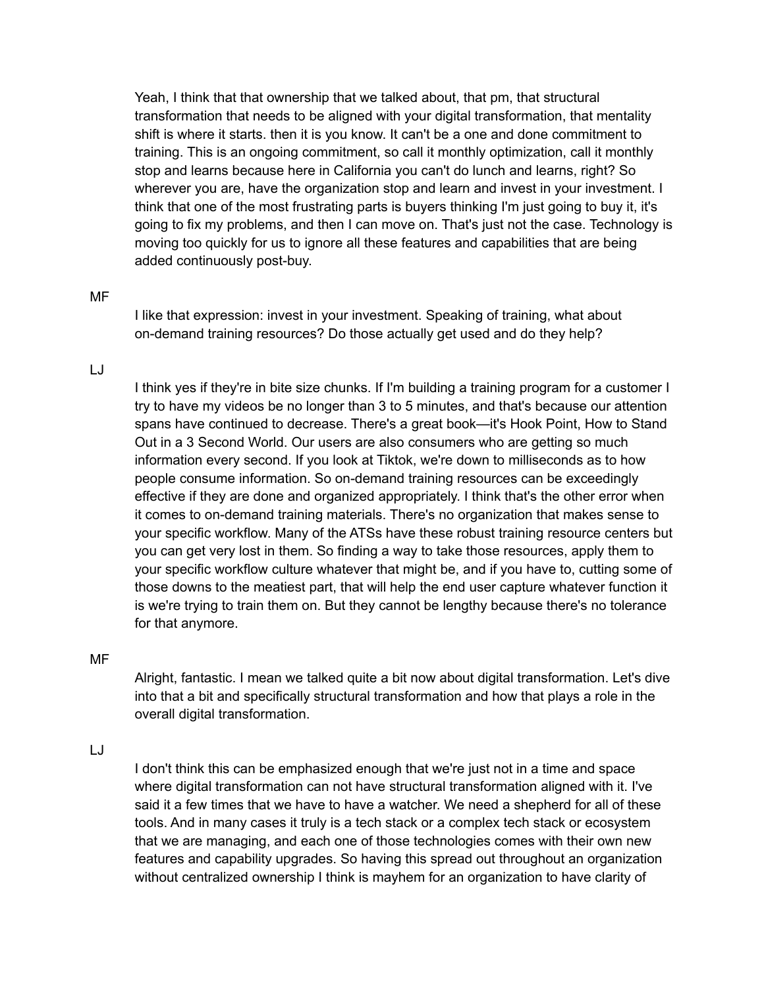Yeah, I think that that ownership that we talked about, that pm, that structural transformation that needs to be aligned with your digital transformation, that mentality shift is where it starts. then it is you know. It can't be a one and done commitment to training. This is an ongoing commitment, so call it monthly optimization, call it monthly stop and learns because here in California you can't do lunch and learns, right? So wherever you are, have the organization stop and learn and invest in your investment. I think that one of the most frustrating parts is buyers thinking I'm just going to buy it, it's going to fix my problems, and then I can move on. That's just not the case. Technology is moving too quickly for us to ignore all these features and capabilities that are being added continuously post-buy.

#### MF

I like that expression: invest in your investment. Speaking of training, what about on-demand training resources? Do those actually get used and do they help?

## LJ

I think yes if they're in bite size chunks. If I'm building a training program for a customer I try to have my videos be no longer than 3 to 5 minutes, and that's because our attention spans have continued to decrease. There's a great book—it's Hook Point, How to Stand Out in a 3 Second World. Our users are also consumers who are getting so much information every second. If you look at Tiktok, we're down to milliseconds as to how people consume information. So on-demand training resources can be exceedingly effective if they are done and organized appropriately. I think that's the other error when it comes to on-demand training materials. There's no organization that makes sense to your specific workflow. Many of the ATSs have these robust training resource centers but you can get very lost in them. So finding a way to take those resources, apply them to your specific workflow culture whatever that might be, and if you have to, cutting some of those downs to the meatiest part, that will help the end user capture whatever function it is we're trying to train them on. But they cannot be lengthy because there's no tolerance for that anymore.

#### MF

Alright, fantastic. I mean we talked quite a bit now about digital transformation. Let's dive into that a bit and specifically structural transformation and how that plays a role in the overall digital transformation.

LJ

I don't think this can be emphasized enough that we're just not in a time and space where digital transformation can not have structural transformation aligned with it. I've said it a few times that we have to have a watcher. We need a shepherd for all of these tools. And in many cases it truly is a tech stack or a complex tech stack or ecosystem that we are managing, and each one of those technologies comes with their own new features and capability upgrades. So having this spread out throughout an organization without centralized ownership I think is mayhem for an organization to have clarity of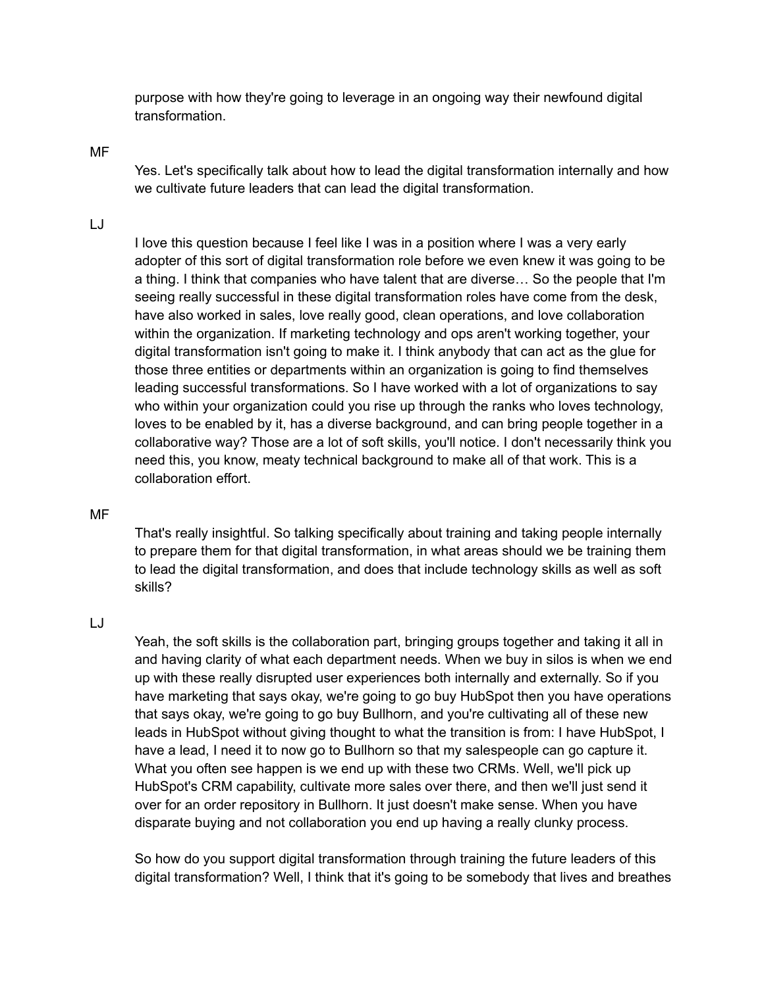purpose with how they're going to leverage in an ongoing way their newfound digital transformation.

#### MF

Yes. Let's specifically talk about how to lead the digital transformation internally and how we cultivate future leaders that can lead the digital transformation.

# LJ

I love this question because I feel like I was in a position where I was a very early adopter of this sort of digital transformation role before we even knew it was going to be a thing. I think that companies who have talent that are diverse… So the people that I'm seeing really successful in these digital transformation roles have come from the desk, have also worked in sales, love really good, clean operations, and love collaboration within the organization. If marketing technology and ops aren't working together, your digital transformation isn't going to make it. I think anybody that can act as the glue for those three entities or departments within an organization is going to find themselves leading successful transformations. So I have worked with a lot of organizations to say who within your organization could you rise up through the ranks who loves technology, loves to be enabled by it, has a diverse background, and can bring people together in a collaborative way? Those are a lot of soft skills, you'll notice. I don't necessarily think you need this, you know, meaty technical background to make all of that work. This is a collaboration effort.

# MF

That's really insightful. So talking specifically about training and taking people internally to prepare them for that digital transformation, in what areas should we be training them to lead the digital transformation, and does that include technology skills as well as soft skills?

#### LJ

Yeah, the soft skills is the collaboration part, bringing groups together and taking it all in and having clarity of what each department needs. When we buy in silos is when we end up with these really disrupted user experiences both internally and externally. So if you have marketing that says okay, we're going to go buy HubSpot then you have operations that says okay, we're going to go buy Bullhorn, and you're cultivating all of these new leads in HubSpot without giving thought to what the transition is from: I have HubSpot, I have a lead, I need it to now go to Bullhorn so that my salespeople can go capture it. What you often see happen is we end up with these two CRMs. Well, we'll pick up HubSpot's CRM capability, cultivate more sales over there, and then we'll just send it over for an order repository in Bullhorn. It just doesn't make sense. When you have disparate buying and not collaboration you end up having a really clunky process.

So how do you support digital transformation through training the future leaders of this digital transformation? Well, I think that it's going to be somebody that lives and breathes